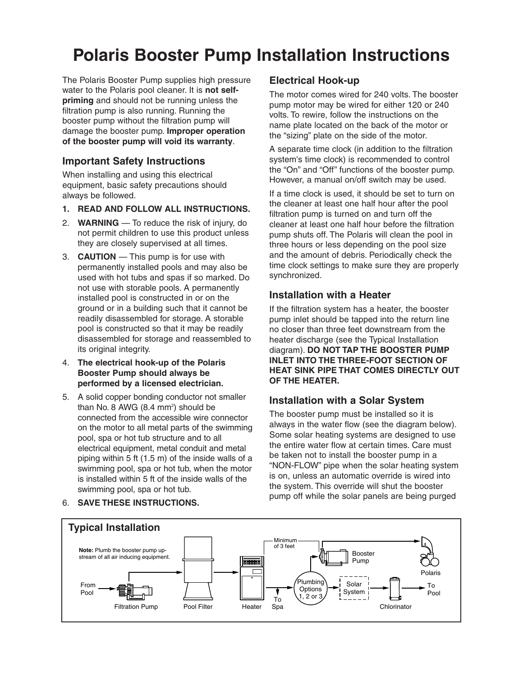# **Polaris Booster Pump Installation Instructions**

The Polaris Booster Pump supplies high pressure water to the Polaris pool cleaner. It is **not selfpriming** and should not be running unless the filtration pump is also running. Running the booster pump without the filtration pump will damage the booster pump. **Improper operation of the booster pump will void its warranty**.

#### **Important Safety Instructions**

When installing and using this electrical equipment, basic safety precautions should always be followed.

- **1. READ AND FOLLOW ALL INSTRUCTIONS.**
- 2. **WARNING** To reduce the risk of injury, do not permit children to use this product unless they are closely supervised at all times.
- 3. **CAUTION** This pump is for use with permanently installed pools and may also be used with hot tubs and spas if so marked. Do not use with storable pools. A permanently installed pool is constructed in or on the ground or in a building such that it cannot be readily disassembled for storage. A storable pool is constructed so that it may be readily disassembled for storage and reassembled to its original integrity.
- 4. **The electrical hook-up of the Polaris Booster Pump should always be performed by a licensed electrician.**
- 5. A solid copper bonding conductor not smaller than No. 8 AWG (8.4 mm<sup>2</sup>) should be connected from the accessible wire connector on the motor to all metal parts of the swimming pool, spa or hot tub structure and to all electrical equipment, metal conduit and metal piping within 5 ft (1.5 m) of the inside walls of a swimming pool, spa or hot tub, when the motor is installed within 5 ft of the inside walls of the swimming pool, spa or hot tub.

**Electrical Hook-up**

The motor comes wired for 240 volts. The booster pump motor may be wired for either 120 or 240 volts. To rewire, follow the instructions on the name plate located on the back of the motor or the "sizing" plate on the side of the motor.

A separate time clock (in addition to the filtration system's time clock) is recommended to control the "On" and "Off" functions of the booster pump. However, a manual on/off switch may be used.

If a time clock is used, it should be set to turn on the cleaner at least one half hour after the pool filtration pump is turned on and turn off the cleaner at least one half hour before the filtration pump shuts off. The Polaris will clean the pool in three hours or less depending on the pool size and the amount of debris. Periodically check the time clock settings to make sure they are properly synchronized.

#### **Installation with a Heater**

If the filtration system has a heater, the booster pump inlet should be tapped into the return line no closer than three feet downstream from the heater discharge (see the Typical Installation diagram). **DO NOT TAP THE BOOSTER PUMP INLET INTO THE THREE-FOOT SECTION OF HEAT SINK PIPE THAT COMES DIRECTLY OUT OF THE HEATER.**

### **Installation with a Solar System**

The booster pump must be installed so it is always in the water flow (see the diagram below). Some solar heating systems are designed to use the entire water flow at certain times. Care must be taken not to install the booster pump in a "NON-FLOW" pipe when the solar heating system is on, unless an automatic override is wired into the system. This override will shut the booster pump off while the solar panels are being purged



#### 6. **SAVE THESE INSTRUCTIONS.**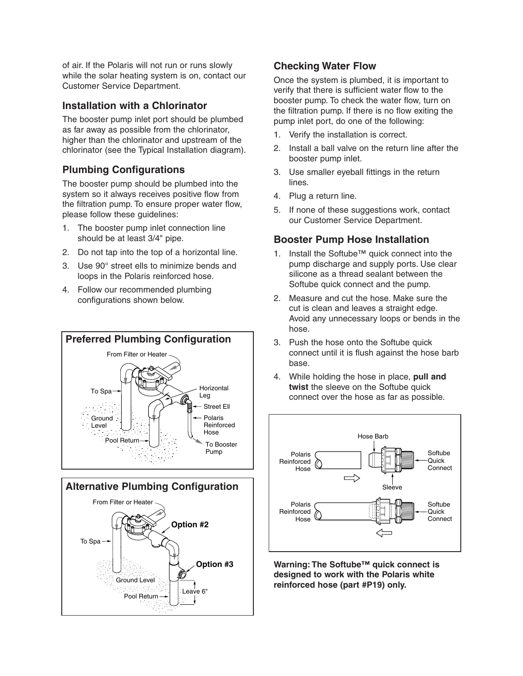of air. If the Polaris will not run or runs slowly while the solar heating system is on, contact our Customer Service Department.

#### **Installation with a Chlorinator**

The booster pump inlet port should be plumbed as far away as possible from the chlorinator, higher than the chlorinator and upstream of the chlorinator (see the Typical Installation diagram).

#### **Plumbing Configurations**

The booster pump should be plumbed into the system so it always receives positive flow from the filtration pump. To ensure proper water flow, please follow these guidelines:

- 1. The booster pump inlet connection line should be at least 3/4" pipe.
- 2. Do not tap into the top of a horizontal line.
- 3. Use 90° street ells to minimize bends and loops in the Polaris reinforced hose.
- 4. Follow our recommended plumbing configurations shown below.





#### **Checking Water Flow**

Once the system is plumbed, it is important to verify that there is sufficient water flow to the booster pump. To check the water flow, turn on the filtration pump. If there is no flow exiting the pump inlet port, do one of the following:

- 1. Verify the installation is correct.
- 2. Install a ball valve on the return line after the booster pump inlet.
- 3. Use smaller eyeball fittings in the return lines.
- 4. Plug a return line.
- 5. If none of these suggestions work, contact our Customer Service Department.

#### **Booster Pump Hose Installation**

- 1. Install the Softube™ quick connect into the pump discharge and supply ports. Use clear silicone as a thread sealant between the Softube quick connect and the pump.
- 2. Measure and cut the hose. Make sure the cut is clean and leaves a straight edge. Avoid any unnecessary loops or bends in the hose.
- 3. Push the hose onto the Softube quick connect until it is flush against the hose barb base.
- 4. While holding the hose in place, **pull and twist** the sleeve on the Softube quick connect over the hose as far as possible.



**Warning: The Softube™ quick connect is designed to work with the Polaris white reinforced hose (part #P19) only.**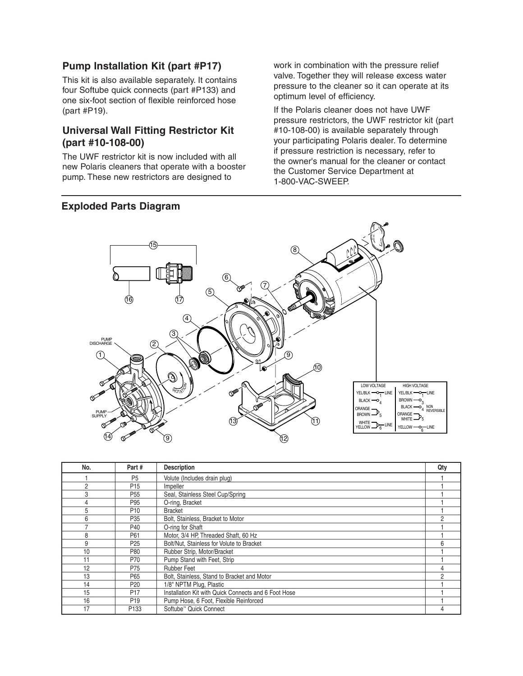#### **Pump Installation Kit (part #P17)**

This kit is also available separately. It contains four Softube quick connects (part #P133) and one six-foot section of flexible reinforced hose (part #P19).

#### **Universal Wall Fitting Restrictor Kit (part #10-108-00)**

The UWF restrictor kit is now included with all new Polaris cleaners that operate with a booster pump. These new restrictors are designed to

#### **Exploded Parts Diagram**

work in combination with the pressure relief valve. Together they will release excess water pressure to the cleaner so it can operate at its optimum level of efficiency.

If the Polaris cleaner does not have UWF pressure restrictors, the UWF restrictor kit (part #10-108-00) is available separately through your participating Polaris dealer. To determine if pressure restriction is necessary, refer to the owner's manual for the cleaner or contact the Customer Service Department at 1-800-VAC-SWEEP.



| No.            | Part#            | <b>Description</b>                                   | Qty |
|----------------|------------------|------------------------------------------------------|-----|
|                | P <sub>5</sub>   | Volute (Includes drain plug)                         |     |
| $\overline{2}$ | P <sub>15</sub>  | Impeller                                             |     |
| 3              | P <sub>55</sub>  | Seal, Stainless Steel Cup/Spring                     |     |
| 4              | P95              | O-ring, Bracket                                      |     |
| 5              | P <sub>10</sub>  | <b>Bracket</b>                                       |     |
| 6              | P <sub>35</sub>  | Bolt, Stainless, Bracket to Motor                    | 2   |
|                | P40              | O-ring for Shaft                                     |     |
| 8              | P61              | Motor, 3/4 HP, Threaded Shaft, 60 Hz                 |     |
| 9              | P <sub>25</sub>  | Bolt/Nut, Stainless for Volute to Bracket            | հ   |
| 10             | P80              | Rubber Strip, Motor/Bracket                          |     |
| 11             | P70              | Pump Stand with Feet, Strip                          |     |
| 12             | P75              | <b>Rubber Feet</b>                                   |     |
| 13             | P65              | Bolt, Stainless, Stand to Bracket and Motor          | 2   |
| 14             | P <sub>20</sub>  | 1/8" NPTM Plug, Plastic                              |     |
| 15             | P <sub>17</sub>  | Installation Kit with Quick Connects and 6 Foot Hose |     |
| 16             | P <sub>19</sub>  | Pump Hose, 6 Foot, Flexible Reinforced               |     |
| 17             | P <sub>133</sub> | Softube <sup>™</sup> Quick Connect                   |     |